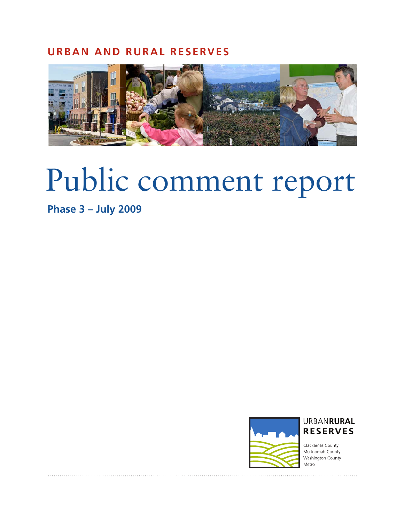## **URBAN AND RURAL RESERVES**



# Public comment report

# **Phase 3 – July 2009**





. . . . . . . . . . . . . . . . .

Clackamas County Multnomah County Washington County Metro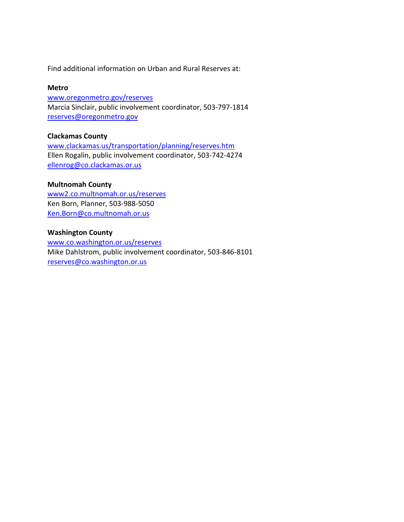Find additional information on Urban and Rural Reserves at:

## **Metro**

[www.oregonmetro.gov/reserves](http://www.oregonmetro.gov/reserves)  Marcia Sinclair, public involvement coordinator, 503-797-1814 [reserves@oregonmetro.gov](mailto:reserves@oregonmetro.gov)

## **Clackamas County**

[www.clackamas.us/transportation/planning/reserves.htm](http://www.clackamas.us/transportation/planning/reserves.htm) Ellen Rogalin, public involvement coordinator, 503-742-4274 [ellenrog@co.clackamas.or.us](mailto:ellenrog@co.clackamas.or.us)

## **Multnomah County**

www2.co.multnomah.or.us/reserves Ken Born, Planner, 503-988-5050 [Ken.Born@co.multnomah.or.us](mailto:Ken.Born@co.Multnomah.or.us)

## **Washington County**

[www.co.washington.or.us/reserves](http://www.co.washington.or.us/reserves) Mike Dahlstrom, public involvement coordinator, 503-846-8101 [reserves@co.washington.or.us](mailto:reserves@co.washington.or.us)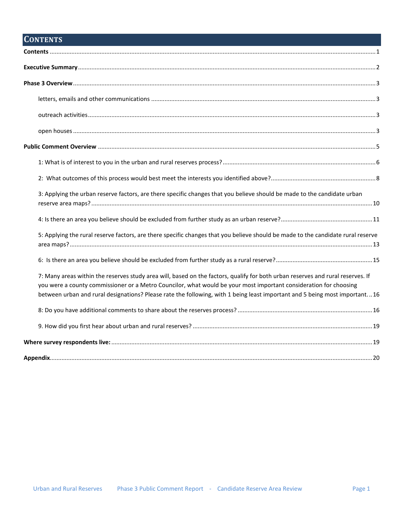# <span id="page-2-0"></span>**CONTENTS**

| 3: Applying the urban reserve factors, are there specific changes that you believe should be made to the candidate urban                                                                                                                                                                                                                                                           |
|------------------------------------------------------------------------------------------------------------------------------------------------------------------------------------------------------------------------------------------------------------------------------------------------------------------------------------------------------------------------------------|
|                                                                                                                                                                                                                                                                                                                                                                                    |
| 5: Applying the rural reserve factors, are there specific changes that you believe should be made to the candidate rural reserve                                                                                                                                                                                                                                                   |
|                                                                                                                                                                                                                                                                                                                                                                                    |
| 7: Many areas within the reserves study area will, based on the factors, qualify for both urban reserves and rural reserves. If<br>you were a county commissioner or a Metro Councilor, what would be your most important consideration for choosing<br>between urban and rural designations? Please rate the following, with 1 being least important and 5 being most important16 |
|                                                                                                                                                                                                                                                                                                                                                                                    |
|                                                                                                                                                                                                                                                                                                                                                                                    |
|                                                                                                                                                                                                                                                                                                                                                                                    |
|                                                                                                                                                                                                                                                                                                                                                                                    |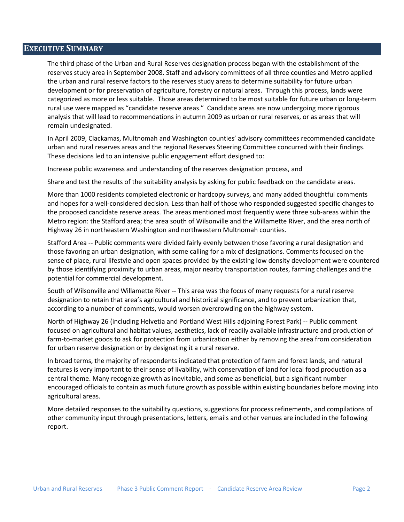## <span id="page-3-0"></span>**EXECUTIVE SUMMARY**

The third phase of the Urban and Rural Reserves designation process began with the establishment of the reserves study area in September 2008. Staff and advisory committees of all three counties and Metro applied the urban and rural reserve factors to the reserves study areas to determine suitability for future urban development or for preservation of agriculture, forestry or natural areas. Through this process, lands were categorized as more or less suitable. Those areas determined to be most suitable for future urban or long-term rural use were mapped as "candidate reserve areas." Candidate areas are now undergoing more rigorous analysis that will lead to recommendations in autumn 2009 as urban or rural reserves, or as areas that will remain undesignated.

In April 2009, Clackamas, Multnomah and Washington counties' advisory committees recommended candidate urban and rural reserves areas and the regional Reserves Steering Committee concurred with their findings. These decisions led to an intensive public engagement effort designed to:

Increase public awareness and understanding of the reserves designation process, and

Share and test the results of the suitability analysis by asking for public feedback on the candidate areas.

More than 1000 residents completed electronic or hardcopy surveys, and many added thoughtful comments and hopes for a well-considered decision. Less than half of those who responded suggested specific changes to the proposed candidate reserve areas. The areas mentioned most frequently were three sub-areas within the Metro region: the Stafford area; the area south of Wilsonville and the Willamette River, and the area north of Highway 26 in northeastern Washington and northwestern Multnomah counties.

Stafford Area -- Public comments were divided fairly evenly between those favoring a rural designation and those favoring an urban designation, with some calling for a mix of designations. Comments focused on the sense of place, rural lifestyle and open spaces provided by the existing low density development were countered by those identifying proximity to urban areas, major nearby transportation routes, farming challenges and the potential for commercial development.

South of Wilsonville and Willamette River -- This area was the focus of many requests for a rural reserve designation to retain that area's agricultural and historical significance, and to prevent urbanization that, according to a number of comments, would worsen overcrowding on the highway system.

North of Highway 26 (including Helvetia and Portland West Hills adjoining Forest Park) -- Public comment focused on agricultural and habitat values, aesthetics, lack of readily available infrastructure and production of farm-to-market goods to ask for protection from urbanization either by removing the area from consideration for urban reserve designation or by designating it a rural reserve.

In broad terms, the majority of respondents indicated that protection of farm and forest lands, and natural features is very important to their sense of livability, with conservation of land for local food production as a central theme. Many recognize growth as inevitable, and some as beneficial, but a significant number encouraged officials to contain as much future growth as possible within existing boundaries before moving into agricultural areas.

More detailed responses to the suitability questions, suggestions for process refinements, and compilations of other community input through presentations, letters, emails and other venues are included in the following report.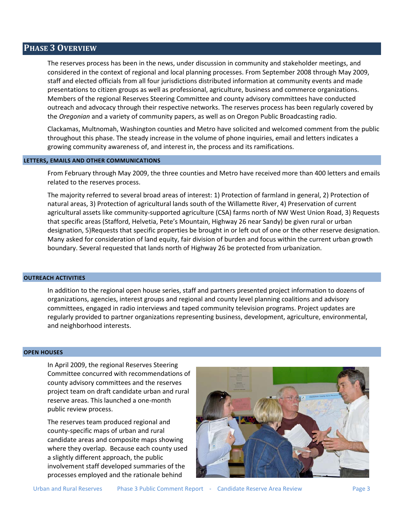## <span id="page-4-0"></span>**PHASE 3 OVERVIEW**

The reserves process has been in the news, under discussion in community and stakeholder meetings, and considered in the context of regional and local planning processes. From September 2008 through May 2009, staff and elected officials from all four jurisdictions distributed information at community events and made presentations to citizen groups as well as professional, agriculture, business and commerce organizations. Members of the regional Reserves Steering Committee and county advisory committees have conducted outreach and advocacy through their respective networks. The reserves process has been regularly covered by the *Oregonian* and a variety of community papers, as well as on Oregon Public Broadcasting radio.

Clackamas, Multnomah, Washington counties and Metro have solicited and welcomed comment from the public throughout this phase. The steady increase in the volume of phone inquiries, email and letters indicates a growing community awareness of, and interest in, the process and its ramifications.

## <span id="page-4-1"></span>**LETTERS, EMAILS AND OTHER COMMUNICATIONS**

From February through May 2009, the three counties and Metro have received more than 400 letters and emails related to the reserves process.

The majority referred to several broad areas of interest: 1) Protection of farmland in general, 2) Protection of natural areas, 3) Protection of agricultural lands south of the Willamette River, 4) Preservation of current agricultural assets like community-supported agriculture (CSA) farms north of NW West Union Road, 3) Requests that specific areas (Stafford, Helvetia, Pete's Mountain, Highway 26 near Sandy) be given rural or urban designation, 5)Requests that specific properties be brought in or left out of one or the other reserve designation. Many asked for consideration of land equity, fair division of burden and focus within the current urban growth boundary. Several requested that lands north of Highway 26 be protected from urbanization.

## <span id="page-4-2"></span>**OUTREACH ACTIVITIES**

In addition to the regional open house series, staff and partners presented project information to dozens of organizations, agencies, interest groups and regional and county level planning coalitions and advisory committees, engaged in radio interviews and taped community television programs. Project updates are regularly provided to partner organizations representing business, development, agriculture, environmental, and neighborhood interests.

## <span id="page-4-3"></span>**OPEN HOUSES**

In April 2009, the regional Reserves Steering Committee concurred with recommendations of county advisory committees and the reserves project team on draft candidate urban and rural reserve areas. This launched a one-month public review process.

The reserves team produced regional and county-specific maps of urban and rural candidate areas and composite maps showing where they overlap. Because each county used a slightly different approach, the public involvement staff developed summaries of the processes employed and the rationale behind

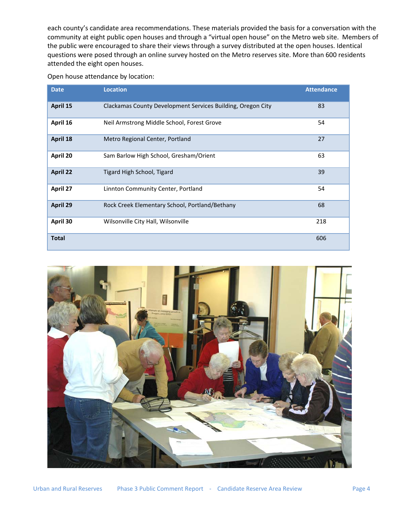each county's candidate area recommendations. These materials provided the basis for a conversation with the community at eight public open houses and through a "virtual open house" on the Metro web site. Members of the public were encouraged to share their views through a survey distributed at the open houses. Identical questions were posed through an online survey hosted on the Metro reserves site. More than 600 residents attended the eight open houses.

Open house attendance by location:

| <b>Date</b>  | <b>Location</b>                                             | <b>Attendance</b> |
|--------------|-------------------------------------------------------------|-------------------|
| April 15     | Clackamas County Development Services Building, Oregon City | 83                |
| April 16     | Neil Armstrong Middle School, Forest Grove                  | 54                |
| April 18     | Metro Regional Center, Portland                             | 27                |
| April 20     | Sam Barlow High School, Gresham/Orient                      | 63                |
| April 22     | Tigard High School, Tigard                                  | 39                |
| April 27     | Linnton Community Center, Portland                          | 54                |
| April 29     | Rock Creek Elementary School, Portland/Bethany              | 68                |
| April 30     | Wilsonville City Hall, Wilsonville                          | 218               |
| <b>Total</b> |                                                             | 606               |

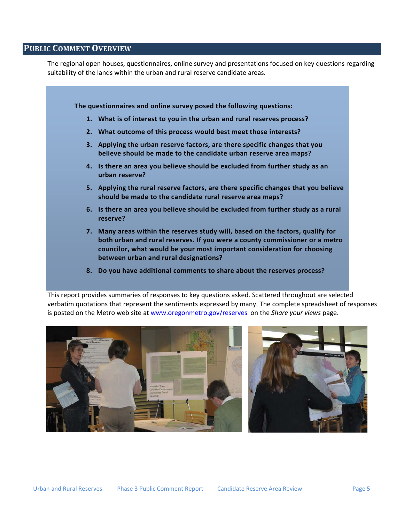## <span id="page-6-0"></span>**PUBLIC COMMENT OVERVIEW**

The regional open houses, questionnaires, online survey and presentations focused on key questions regarding suitability of the lands within the urban and rural reserve candidate areas.



**8. Do you have additional comments to share about the reserves process?**

This report provides summaries of responses to key questions asked. Scattered throughout are selected verbatim quotations that represent the sentiments expressed by many. The complete spreadsheet of responses is posted on the Metro web site at [www.oregonmetro.gov/reserves](http://www.oregonmetro.gov/reserves) on the *Share your views* page.

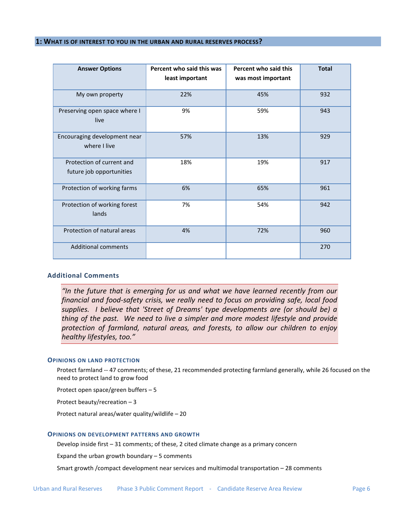#### <span id="page-7-0"></span>**1: WHAT IS OF INTEREST TO YOU IN THE URBAN AND RURAL RESERVES PROCESS?**

| <b>Answer Options</b>                                 | Percent who said this was<br>least important | Percent who said this<br>was most important | <b>Total</b> |
|-------------------------------------------------------|----------------------------------------------|---------------------------------------------|--------------|
| My own property                                       | 22%                                          | 45%                                         | 932          |
| Preserving open space where I<br>live                 | 9%                                           | 59%                                         | 943          |
| Encouraging development near<br>where I live          | 57%                                          | 13%                                         | 929          |
| Protection of current and<br>future job opportunities | 18%                                          | 19%                                         | 917          |
| Protection of working farms                           | 6%                                           | 65%                                         | 961          |
| Protection of working forest<br>lands                 | 7%                                           | 54%                                         | 942          |
| Protection of natural areas                           | 4%                                           | 72%                                         | 960          |
| <b>Additional comments</b>                            |                                              |                                             | 270          |

## **Additional Comments**

*"In the future that is emerging for us and what we have learned recently from our financial and food-safety crisis, we really need to focus on providing safe, local food supplies. I believe that 'Street of Dreams' type developments are (or should be) a thing of the past. We need to live a simpler and more modest lifestyle and provide protection of farmland, natural areas, and forests, to allow our children to enjoy healthy lifestyles, too."* 

#### **OPINIONS ON LAND PROTECTION**

Protect farmland -- 47 comments; of these, 21 recommended protecting farmland generally, while 26 focused on the need to protect land to grow food

Protect open space/green buffers – 5

Protect beauty/recreation – 3

Protect natural areas/water quality/wildlife – 20

#### **OPINIONS ON DEVELOPMENT PATTERNS AND GROWTH**

Develop inside first – 31 comments; of these, 2 cited climate change as a primary concern

Expand the urban growth boundary  $-5$  comments

Smart growth /compact development near services and multimodal transportation – 28 comments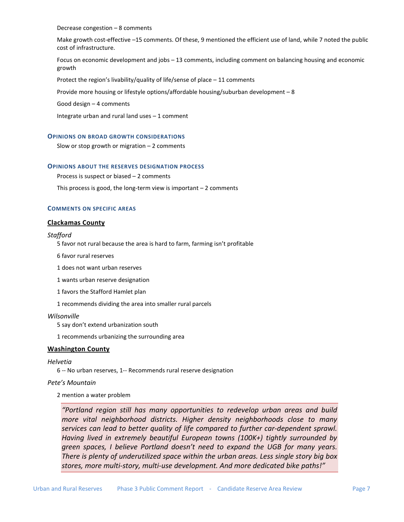#### Decrease congestion – 8 comments

Make growth cost-effective –15 comments. Of these, 9 mentioned the efficient use of land, while 7 noted the public cost of infrastructure.

Focus on economic development and jobs – 13 comments, including comment on balancing housing and economic growth

Protect the region's livability/quality of life/sense of place – 11 comments

Provide more housing or lifestyle options/affordable housing/suburban development – 8

Good design – 4 comments

Integrate urban and rural land uses – 1 comment

#### **OPINIONS ON BROAD GROWTH CONSIDERATIONS**

Slow or stop growth or migration – 2 comments

#### **OPINIONS ABOUT THE RESERVES DESIGNATION PROCESS**

Process is suspect or biased – 2 comments

This process is good, the long-term view is important  $-2$  comments

#### **COMMENTS ON SPECIFIC AREAS**

#### **Clackamas County**

#### *Stafford*

5 favor not rural because the area is hard to farm, farming isn't profitable

- 6 favor rural reserves
- 1 does not want urban reserves
- 1 wants urban reserve designation
- 1 favors the Stafford Hamlet plan

1 recommends dividing the area into smaller rural parcels

#### *Wilsonville*

5 say don't extend urbanization south

1 recommends urbanizing the surrounding area

#### **Washington County**

## *Helvetia*

6 -- No urban reserves, 1-- Recommends rural reserve designation

#### *Pete's Mountain*

2 mention a water problem

*"Portland region still has many opportunities to redevelop urban areas and build more vital neighborhood districts. Higher density neighborhoods close to many services can lead to better quality of life compared to further car-dependent sprawl. Having lived in extremely beautiful European towns (100K+) tightly surrounded by green spaces, I believe Portland doesn't need to expand the UGB for many years. There is plenty of underutilized space within the urban areas. Less single story big box stores, more multi-story, multi-use development. And more dedicated bike paths!"*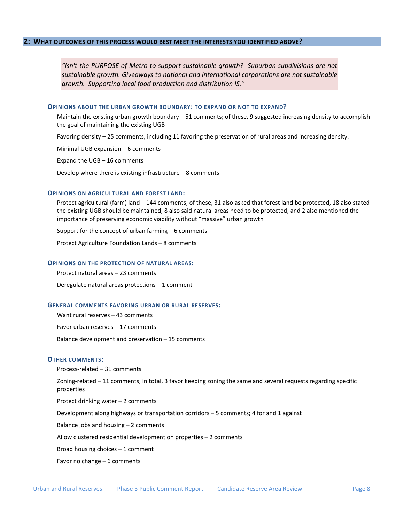<span id="page-9-0"></span>*"Isn't the PURPOSE of Metro to support sustainable growth? Suburban subdivisions are not sustainable growth. Giveaways to national and international corporations are not sustainable growth. Supporting local food production and distribution IS."* 

#### **OPINIONS ABOUT THE URBAN GROWTH BOUNDARY: TO EXPAND OR NOT TO EXPAND?**

Maintain the existing urban growth boundary – 51 comments; of these, 9 suggested increasing density to accomplish the goal of maintaining the existing UGB

Favoring density – 25 comments, including 11 favoring the preservation of rural areas and increasing density.

Minimal UGB expansion – 6 comments

Expand the UGB – 16 comments

Develop where there is existing infrastructure – 8 comments

#### **OPINIONS ON AGRICULTURAL AND FOREST LAND:**

Protect agricultural (farm) land – 144 comments; of these, 31 also asked that forest land be protected, 18 also stated the existing UGB should be maintained, 8 also said natural areas need to be protected, and 2 also mentioned the importance of preserving economic viability without "massive" urban growth

Support for the concept of urban farming – 6 comments

Protect Agriculture Foundation Lands – 8 comments

#### **OPINIONS ON THE PROTECTION OF NATURAL AREAS:**

Protect natural areas – 23 comments

Deregulate natural areas protections – 1 comment

#### **GENERAL COMMENTS FAVORING URBAN OR RURAL RESERVES:**

Want rural reserves – 43 comments

Favor urban reserves – 17 comments

Balance development and preservation – 15 comments

#### **OTHER COMMENTS:**

Process-related – 31 comments

Zoning-related – 11 comments; in total, 3 favor keeping zoning the same and several requests regarding specific properties

Protect drinking water – 2 comments

Development along highways or transportation corridors – 5 comments; 4 for and 1 against

Balance jobs and housing – 2 comments

Allow clustered residential development on properties – 2 comments

Broad housing choices – 1 comment

Favor no change – 6 comments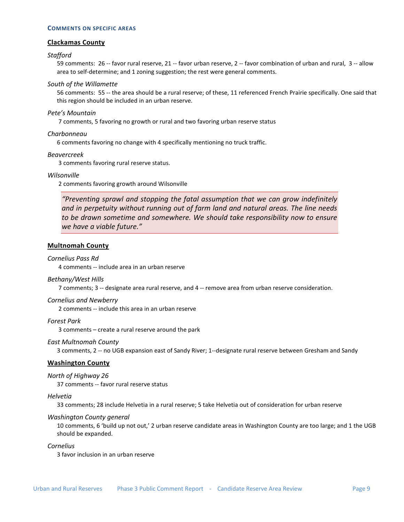#### **COMMENTS ON SPECIFIC AREAS**

#### **Clackamas County**

#### *Stafford*

59 comments: 26 -- favor rural reserve, 21 -- favor urban reserve, 2 -- favor combination of urban and rural, 3 -- allow area to self-determine; and 1 zoning suggestion; the rest were general comments.

## *South of the Willamette*

56 comments: 55 -- the area should be a rural reserve; of these, 11 referenced French Prairie specifically. One said that this region should be included in an urban reserve.

#### *Pete's Mountain*

7 comments, 5 favoring no growth or rural and two favoring urban reserve status

#### *Charbonneau*

6 comments favoring no change with 4 specifically mentioning no truck traffic.

#### *Beavercreek*

3 comments favoring rural reserve status.

#### *Wilsonville*

2 comments favoring growth around Wilsonville

*"Preventing sprawl and stopping the fatal assumption that we can grow indefinitely and in perpetuity without running out of farm land and natural areas. The line needs to be drawn sometime and somewhere. We should take responsibility now to ensure we have a viable future."* 

## **Multnomah County**

#### *Cornelius Pass Rd*

4 comments -- include area in an urban reserve

#### *Bethany/West Hills*

7 comments; 3 -- designate area rural reserve, and 4 -- remove area from urban reserve consideration.

## *Cornelius and Newberry*

2 comments -- include this area in an urban reserve

*Forest Park* 

3 comments – create a rural reserve around the park

#### *East Multnomah County*

3 comments, 2 -- no UGB expansion east of Sandy River; 1--designate rural reserve between Gresham and Sandy

## **Washington County**

#### *North of Highway 26*

37 comments -- favor rural reserve status

#### *Helvetia*

33 comments; 28 include Helvetia in a rural reserve; 5 take Helvetia out of consideration for urban reserve

#### *Washington County general*

10 comments, 6 'build up not out,' 2 urban reserve candidate areas in Washington County are too large; and 1 the UGB should be expanded.

*Cornelius* 

3 favor inclusion in an urban reserve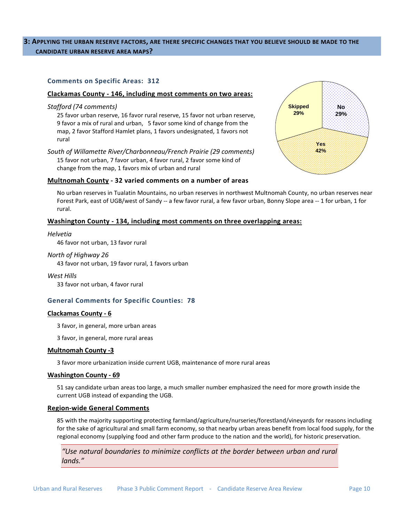## <span id="page-11-0"></span>**3: APPLYING THE URBAN RESERVE FACTORS, ARE THERE SPECIFIC CHANGES THAT YOU BELIEVE SHOULD BE MADE TO THE CANDIDATE URBAN RESERVE AREA MAPS?**

## **Comments on Specific Areas: 312**

#### **Clackamas County - 146, including most comments on two areas:**

#### *Stafford (74 comments)*

25 favor urban reserve, 16 favor rural reserve, 15 favor not urban reserve, 9 favor a mix of rural and urban, 5 favor some kind of change from the map, 2 favor Stafford Hamlet plans, 1 favors undesignated, 1 favors not rural

*South of Willamette River/Charbonneau/French Prairie (29 comments)*  15 favor not urban, 7 favor urban, 4 favor rural, 2 favor some kind of change from the map, 1 favors mix of urban and rural

## **Multnomah County - 32 varied comments on a number of areas**

No urban reserves in Tualatin Mountains, no urban reserves in northwest Multnomah County, no urban reserves near Forest Park, east of UGB/west of Sandy -- a few favor rural, a few favor urban, Bonny Slope area -- 1 for urban, 1 for rural.

## **Washington County - 134, including most comments on three overlapping areas:**

*Helvetia* 

46 favor not urban, 13 favor rural

#### *North of Highway 26*

43 favor not urban, 19 favor rural, 1 favors urban

*West Hills*  33 favor not urban, 4 favor rural

## **General Comments for Specific Counties: 78**

#### **Clackamas County - 6**

3 favor, in general, more urban areas

3 favor, in general, more rural areas

#### **Multnomah County -3**

3 favor more urbanization inside current UGB, maintenance of more rural areas

#### **Washington County - 69**

51 say candidate urban areas too large, a much smaller number emphasized the need for more growth inside the current UGB instead of expanding the UGB.

#### **Region-wide General Comments**

85 with the majority supporting protecting farmland/agriculture/nurseries/forestland/vineyards for reasons including for the sake of agricultural and small farm economy, so that nearby urban areas benefit from local food supply, for the regional economy (supplying food and other farm produce to the nation and the world), for historic preservation.

*"Use natural boundaries to minimize conflicts at the border between urban and rural lands."* 

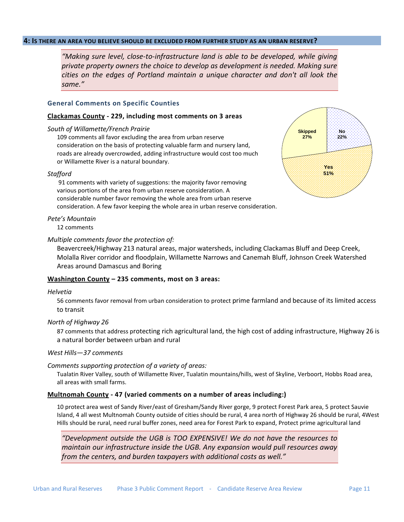## <span id="page-12-0"></span>**4: IS THERE AN AREA YOU BELIEVE SHOULD BE EXCLUDED FROM FURTHER STUDY AS AN URBAN RESERVE?**

*"Making sure level, close-to-infrastructure land is able to be developed, while giving private property owners the choice to develop as development is needed. Making sure cities on the edges of Portland maintain a unique character and don't all look the same."* 

## **General Comments on Specific Counties**

#### **Clackamas County - 229, including most comments on 3 areas**

#### *South of Willamette/French Prairie*

109 comments all favor excluding the area from urban reserve consideration on the basis of protecting valuable farm and nursery land, roads are already overcrowded, adding infrastructure would cost too much or Willamette River is a natural boundary.

#### *Stafford*

91 comments with variety of suggestions: the majority favor removing various portions of the area from urban reserve consideration. A considerable number favor removing the whole area from urban reserve consideration. A few favor keeping the whole area in urban reserve consideration.

#### *Pete's Mountain*

12 comments

#### *Multiple comments favor the protection of:*

Beavercreek/Highway 213 natural areas, major watersheds, including Clackamas Bluff and Deep Creek, Molalla River corridor and floodplain, Willamette Narrows and Canemah Bluff, Johnson Creek Watershed Areas around Damascus and Boring

## **Washington County – 235 comments, most on 3 areas:**

#### *Helvetia*

56 comments favor removal from urban consideration to protect prime farmland and because of its limited access to transit

## *North of Highway 26*

87 comments that address protecting rich agricultural land, the high cost of adding infrastructure, Highway 26 is a natural border between urban and rural

#### *West Hills—37 comments*

#### *Comments supporting protection of a variety of areas:*

Tualatin River Valley, south of Willamette River, Tualatin mountains/hills, west of Skyline, Verboort, Hobbs Road area, all areas with small farms.

## **Multnomah County - 47 (varied comments on a number of areas including:)**

10 protect area west of Sandy River/east of Gresham/Sandy River gorge, 9 protect Forest Park area, 5 protect Sauvie Island, 4 all west Multnomah County outside of cities should be rural, 4 area north of Highway 26 should be rural, 4West Hills should be rural, need rural buffer zones, need area for Forest Park to expand, Protect prime agricultural land

*"Development outside the UGB is TOO EXPENSIVE! We do not have the resources to maintain our infrastructure inside the UGB. Any expansion would pull resources away from the centers, and burden taxpayers with additional costs as well."* 

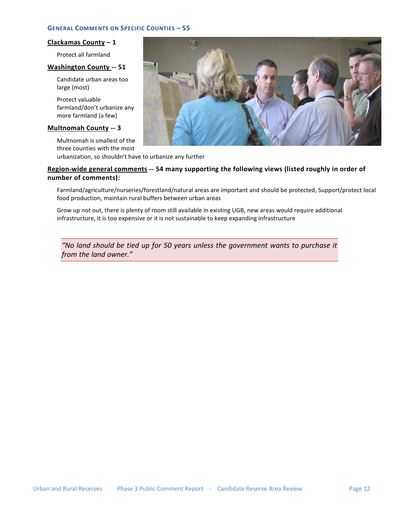## **GENERAL COMMENTS ON SPECIFIC COUNTIES – 55**

## **Clackamas County – 1**

Protect all farmland

## **Washington County -- 51**

Candidate urban areas too large (most)

Protect valuable farmland/don't urbanize any more farmland (a few)

## **Multnomah County -- 3**

Multnomah is smallest of the three counties with the most urbanization, so shouldn't have to urbanize any further

## **Region-wide general comments -- 54 many supporting the following views (listed roughly in order of number of comments):**

Farmland/agriculture/nurseries/forestland/natural areas are important and should be protected, Support/protect local food production, maintain rural buffers between urban areas

Grow up not out, there is plenty of room still available in existing UGB, new areas would require additional infrastructure, it is too expensive or it is not sustainable to keep expanding infrastructure

*"No land should be tied up for 50 years unless the government wants to purchase it from the land owner."* 

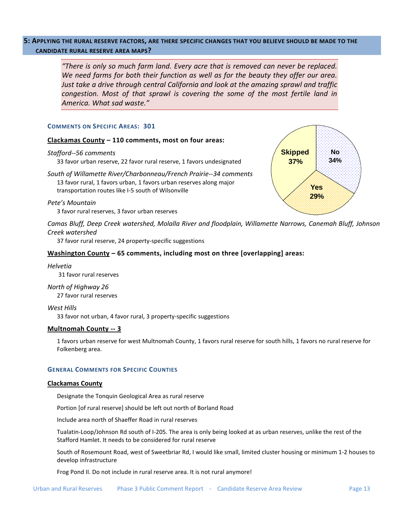## <span id="page-14-0"></span>**5: APPLYING THE RURAL RESERVE FACTORS, ARE THERE SPECIFIC CHANGES THAT YOU BELIEVE SHOULD BE MADE TO THE CANDIDATE RURAL RESERVE AREA MAPS?**

*"There is only so much farm land. Every acre that is removed can never be replaced. We need farms for both their function as well as for the beauty they offer our area. Just take a drive through central California and look at the amazing sprawl and traffic congestion. Most of that sprawl is covering the some of the most fertile land in America. What sad waste."* 

## **COMMENTS ON SPECIFIC AREAS: 301**

## **Clackamas County – 110 comments, most on four areas:**

#### *Stafford--56 comments*

33 favor urban reserve, 22 favor rural reserve, 1 favors undesignated

*South of Willamette River/Charbonneau/French Prairie--34 comments*  13 favor rural, 1 favors urban, 1 favors urban reserves along major transportation routes like I-5 south of Wilsonville

## *Pete's Mountain*

3 favor rural reserves, 3 favor urban reserves

*Camas Bluff, Deep Creek watershed, Molalla River and floodplain, Willamette Narrows, Canemah Bluff, Johnson Creek watershed*

37 favor rural reserve, 24 property-specific suggestions

## Washington County - 65 comments, including most on three [overlapping] areas:

#### *Helvetia*

31 favor rural reserves

## *North of Highway 26* 27 favor rural reserves

*West Hills*  33 favor not urban, 4 favor rural, 3 property-specific suggestions

## **Multnomah County -- 3**

1 favors urban reserve for west Multnomah County, 1 favors rural reserve for south hills, 1 favors no rural reserve for Folkenberg area.

## **GENERAL COMMENTS FOR SPECIFIC COUNTIES**

#### **Clackamas County**

Designate the Tonquin Geological Area as rural reserve

Portion [of rural reserve] should be left out north of Borland Road

Include area north of Shaeffer Road in rural reserves

Tualatin-Loop/Johnson Rd south of I-205. The area is only being looked at as urban reserves, unlike the rest of the Stafford Hamlet. It needs to be considered for rural reserve

South of Rosemount Road, west of Sweetbriar Rd, I would like small, limited cluster housing or minimum 1-2 houses to develop infrastructure

Frog Pond II. Do not include in rural reserve area. It is not rural anymore!

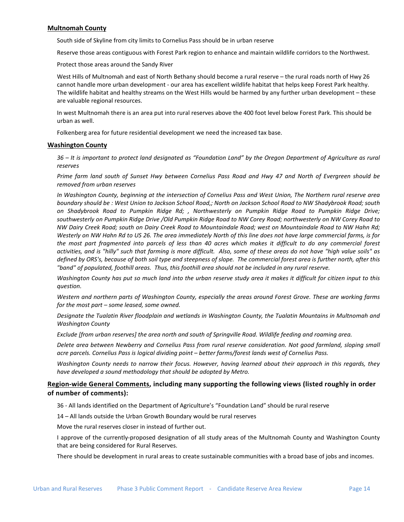## **Multnomah County**

South side of Skyline from city limits to Cornelius Pass should be in urban reserve

Reserve those areas contiguous with Forest Park region to enhance and maintain wildlife corridors to the Northwest.

Protect those areas around the Sandy River

West Hills of Multnomah and east of North Bethany should become a rural reserve – the rural roads north of Hwy 26 cannot handle more urban development - our area has excellent wildlife habitat that helps keep Forest Park healthy. The wildlife habitat and healthy streams on the West Hills would be harmed by any further urban development – these are valuable regional resources.

In west Multnomah there is an area put into rural reserves above the 400 foot level below Forest Park. This should be urban as well.

Folkenberg area for future residential development we need the increased tax base.

## **Washington County**

*36 – It is important to protect land designated as "Foundation Land" by the Oregon Department of Agriculture as rural reserves*

*Prime farm land south of Sunset Hwy between Cornelius Pass Road and Hwy 47 and North of Evergreen should be removed from urban reserves*

*In Washington County, beginning at the intersection of Cornelius Pass and West Union, The Northern rural reserve area boundary should be : West Union to Jackson School Road,; North on Jackson School Road to NW Shadybrook Road; south on Shadybrook Road to Pumpkin Ridge Rd; , Northwesterly on Pumpkin Ridge Road to Pumpkin Ridge Drive; southwesterly on Pumpkin Ridge Drive /Old Pumpkin Ridge Road to NW Corey Road; northwesterly on NW Corey Road to NW Dairy Creek Road; south on Dairy Creek Road to Mountaindale Road; west on Mountaindale Road to NW Hahn Rd; Westerly on NW Hahn Rd to US 26. The area immediately North of this line does not have large commercial farms, is for the most part fragmented into parcels of less than 40 acres which makes it difficult to do any commercial forest activities, and is "hilly" such that farming is more difficult. Also, some of these areas do not have "high value soils" as defined by ORS's, because of both soil type and steepness of slope. The commercial forest area is further north, after this "band" of populated, foothill areas. Thus, this foothill area should not be included in any rural reserve.*

*Washington County has put so much land into the urban reserve study area it makes it difficult for citizen input to this question.*

*Western and northern parts of Washington County, especially the areas around Forest Grove. These are working farms for the most part – some leased, some owned.*

*Designate the Tualatin River floodplain and wetlands in Washington County, the Tualatin Mountains in Multnomah and Washington County*

*Exclude [from urban reserves] the area north and south of Springville Road. Wildlife feeding and roaming area.*

*Delete area between Newberry and Cornelius Pass from rural reserve consideration. Not good farmland, sloping small acre parcels. Cornelius Pass is logical dividing point – better farms/forest lands west of Cornelius Pass.*

*Washington County needs to narrow their focus. However, having learned about their approach in this regards, they have developed a sound methodology that should be adopted by Metro.*

## Region-wide General Comments, including many supporting the following views (listed roughly in order **of number of comments):**

36 - All lands identified on the Department of Agriculture's "Foundation Land" should be rural reserve

14 – All lands outside the Urban Growth Boundary would be rural reserves

Move the rural reserves closer in instead of further out.

I approve of the currently-proposed designation of all study areas of the Multnomah County and Washington County that are being considered for Rural Reserves.

There should be development in rural areas to create sustainable communities with a broad base of jobs and incomes.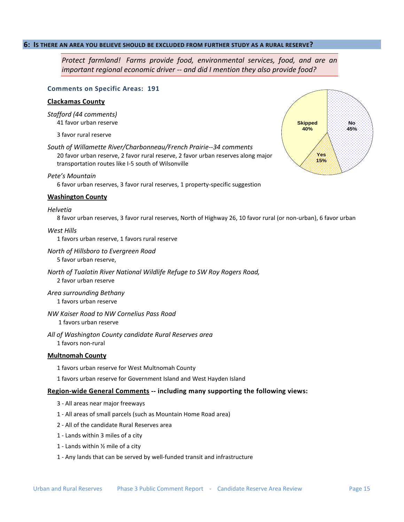## <span id="page-16-0"></span>**6: IS THERE AN AREA YOU BELIEVE SHOULD BE EXCLUDED FROM FURTHER STUDY AS A RURAL RESERVE?**

*Protect farmland! Farms provide food, environmental services, food, and are an important regional economic driver -- and did I mention they also provide food?* 

#### **Comments on Specific Areas: 191**

## **Clackamas County**

*Stafford (44 comments)*  41 favor urban reserve

3 favor rural reserve

*South of Willamette River/Charbonneau/French Prairie--34 comments*  20 favor urban reserve, 2 favor rural reserve, 2 favor urban reserves along major transportation routes like I-5 south of Wilsonville

## *Pete's Mountain*

6 favor urban reserves, 3 favor rural reserves, 1 property-specific suggestion

## **Washington County**

## *Helvetia*

8 favor urban reserves, 3 favor rural reserves, North of Highway 26, 10 favor rural (or non-urban), 6 favor urban

#### *West Hills*

1 favors urban reserve, 1 favors rural reserve

## *North of Hillsboro to Evergreen Road*

5 favor urban reserve,

*North of Tualatin River National Wildlife Refuge to SW Roy Rogers Road,*  2 favor urban reserve

*Area surrounding Bethany*  1 favors urban reserve

*NW Kaiser Road to NW Cornelius Pass Road*  1 favors urban reserve

*All of Washington County candidate Rural Reserves area*  1 favors non-rural

## **Multnomah County**

1 favors urban reserve for West Multnomah County

1 favors urban reserve for Government Island and West Hayden Island

## Region-wide General Comments -- including many supporting the following views:

- 3 All areas near major freeways
- 1 All areas of small parcels (such as Mountain Home Road area)
- 2 All of the candidate Rural Reserves area
- 1 Lands within 3 miles of a city
- 1 Lands within ½ mile of a city
- 1 Any lands that can be served by well-funded transit and infrastructure

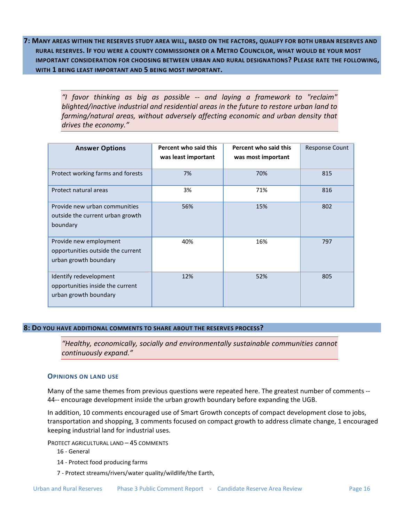<span id="page-17-0"></span>**7: MANY AREAS WITHIN THE RESERVES STUDY AREA WILL, BASED ON THE FACTORS, QUALIFY FOR BOTH URBAN RESERVES AND RURAL RESERVES. IF YOU WERE A COUNTY COMMISSIONER OR A METRO COUNCILOR, WHAT WOULD BE YOUR MOST IMPORTANT CONSIDERATION FOR CHOOSING BETWEEN URBAN AND RURAL DESIGNATIONS? PLEASE RATE THE FOLLOWING, WITH 1 BEING LEAST IMPORTANT AND 5 BEING MOST IMPORTANT.** 

> *"I favor thinking as big as possible -- and laying a framework to "reclaim" blighted/inactive industrial and residential areas in the future to restore urban land to farming/natural areas, without adversely affecting economic and urban density that drives the economy."*

| <b>Answer Options</b>                                                                | Percent who said this<br>was least important | Percent who said this<br>was most important | <b>Response Count</b> |
|--------------------------------------------------------------------------------------|----------------------------------------------|---------------------------------------------|-----------------------|
| Protect working farms and forests                                                    | 7%                                           | 70%                                         | 815                   |
| Protect natural areas                                                                | 3%                                           | 71%                                         | 816                   |
| Provide new urban communities<br>outside the current urban growth<br>boundary        | 56%                                          | 15%                                         | 802                   |
| Provide new employment<br>opportunities outside the current<br>urban growth boundary | 40%                                          | 16%                                         | 797                   |
| Identify redevelopment<br>opportunities inside the current<br>urban growth boundary  | 12%                                          | 52%                                         | 805                   |

## <span id="page-17-1"></span>**8: DO YOU HAVE ADDITIONAL COMMENTS TO SHARE ABOUT THE RESERVES PROCESS?**

*"Healthy, economically, socially and environmentally sustainable communities cannot continuously expand."* 

## **OPINIONS ON LAND USE**

Many of the same themes from previous questions were repeated here. The greatest number of comments -- 44-- encourage development inside the urban growth boundary before expanding the UGB.

In addition, 10 comments encouraged use of Smart Growth concepts of compact development close to jobs, transportation and shopping, 3 comments focused on compact growth to address climate change, 1 encouraged keeping industrial land for industrial uses.

PROTECT AGRICULTURAL LAND – 45 COMMENTS

- 16 General
- 14 Protect food producing farms
- 7 Protect streams/rivers/water quality/wildlife/the Earth,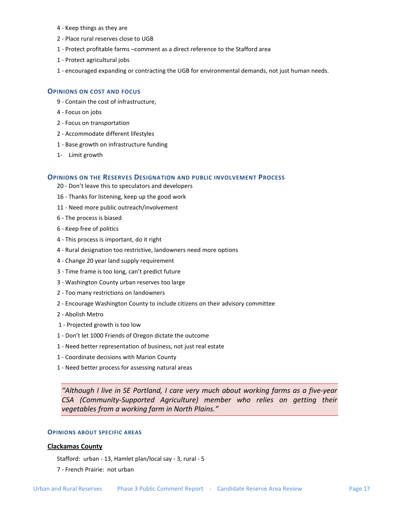- 4 Keep things as they are
- 2 Place rural reserves close to UGB
- 1 Protect profitable farms –comment as a direct reference to the Stafford area
- 1 Protect agricultural jobs
- 1 encouraged expanding or contracting the UGB for environmental demands, not just human needs.

## **OPINIONS ON COST AND FOCUS**

- 9 Contain the cost of infrastructure,
- 4 Focus on jobs
- 2 Focus on transportation
- 2 Accommodate different lifestyles
- 1 Base growth on infrastructure funding
- 1- Limit growth

#### **OPINIONS ON THE RESERVES DESIGNATION AND PUBLIC INVOLVEMENT PROCESS**

- 20 Don't leave this to speculators and developers
- 16 Thanks for listening, keep up the good work
- 11 Need more public outreach/involvement
- 6 The process is biased
- 6 Keep free of politics
- 4 This process is important, do it right
- 4 Rural designation too restrictive, landowners need more options
- 4 Change 20 year land supply requirement
- 3 Time frame is too long, can't predict future
- 3 Washington County urban reserves too large
- 2 Too many restrictions on landowners
- 2 Encourage Washington County to include citizens on their advisory committee
- 2 Abolish Metro
- 1 Projected growth is too low
- 1 Don't let 1000 Friends of Oregon dictate the outcome
- 1 Need better representation of business, not just real estate
- 1 Coordinate decisions with Marion County
- 1 Need better process for assessing natural areas

*"Although I live in SE Portland, I care very much about working farms as a five-year CSA (Community-Supported Agriculture) member who relies on getting their vegetables from a working farm in North Plains."* 

## **OPINIONS ABOUT SPECIFIC AREAS**

#### **Clackamas County**

Stafford: urban - 13, Hamlet plan/local say - 3, rural - 5

7 - French Prairie: not urban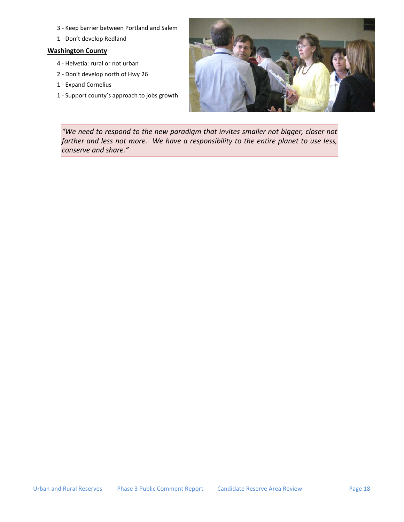- 3 Keep barrier between Portland and Salem
- 1 Don't develop Redland

## **Washington County**

- 4 Helvetia: rural or not urban
- 2 Don't develop north of Hwy 26
- 1 Expand Cornelius
- 1 Support county's approach to jobs growth



*"We need to respond to the new paradigm that invites smaller not bigger, closer not farther and less not more. We have a responsibility to the entire planet to use less, conserve and share."*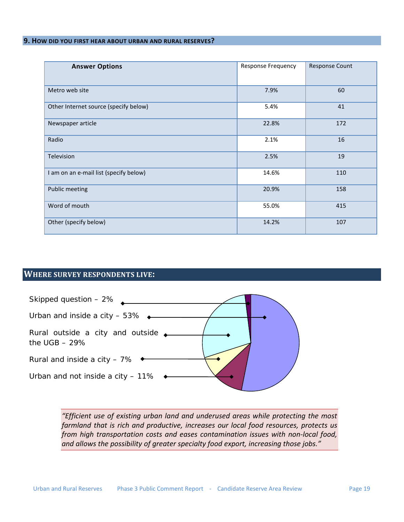## <span id="page-20-0"></span>**9. HOW DID YOU FIRST HEAR ABOUT URBAN AND RURAL RESERVES?**

| <b>Answer Options</b>                  | <b>Response Frequency</b> | <b>Response Count</b> |
|----------------------------------------|---------------------------|-----------------------|
| Metro web site                         | 7.9%                      | 60                    |
| Other Internet source (specify below)  | 5.4%                      | 41                    |
| Newspaper article                      | 22.8%                     | 172                   |
| Radio                                  | 2.1%                      | 16                    |
| Television                             | 2.5%                      | 19                    |
| I am on an e-mail list (specify below) | 14.6%                     | 110                   |
| <b>Public meeting</b>                  | 20.9%                     | 158                   |
| Word of mouth                          | 55.0%                     | 415                   |
| Other (specify below)                  | 14.2%                     | 107                   |

## <span id="page-20-1"></span>**WHERE SURVEY RESPONDENTS LIVE:**



*"Efficient use of existing urban land and underused areas while protecting the most farmland that is rich and productive, increases our local food resources, protects us from high transportation costs and eases contamination issues with non-local food, and allows the possibility of greater specialty food export, increasing those jobs."*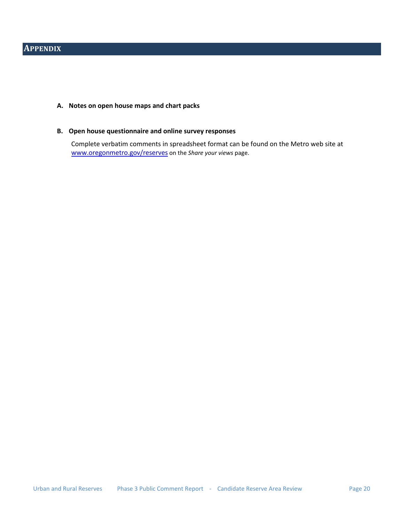## <span id="page-21-0"></span>**A. Notes on open house maps and chart packs**

## **B. Open house questionnaire and online survey responses**

Complete verbatim comments in spreadsheet format can be found on the Metro web site at [www.oregonmetro.gov/reserves](http://www.oregonmetro.gov/reserves) on the *Share your views* page.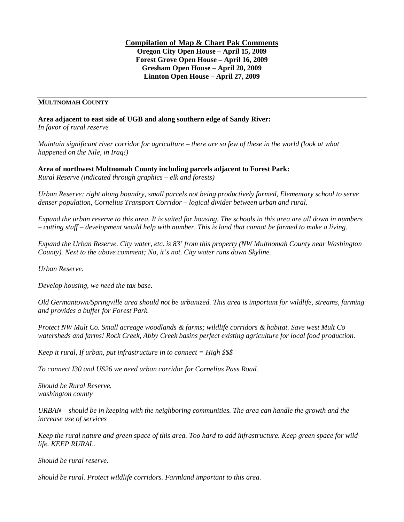**Compilation of Map & Chart Pak Comments Oregon City Open House – April 15, 2009 Forest Grove Open House – April 16, 2009 Gresham Open House – April 20, 2009 Linnton Open House – April 27, 2009**

## **MULTNOMAH COUNTY**

**Area adjacent to east side of UGB and along southern edge of Sandy River:** *In favor of rural reserve*

*Maintain significant river corridor for agriculture – there are so few of these in the world (look at what happened on the Nile, in Iraq!)* 

**Area of northwest Multnomah County including parcels adjacent to Forest Park:** *Rural Reserve (indicated through graphics – elk and forests)*

*Urban Reserve: right along boundry, small parcels not being productively farmed, Elementary school to serve denser population, Cornelius Transport Corridor – logical divider between urban and rural.* 

*Expand the urban reserve to this area. It is suited for housing. The schools in this area are all down in numbers – cutting staff – development would help with number. This is land that cannot be farmed to make a living.* 

*Expand the Urban Reserve. City water, etc. is 83' from this property (NW Multnomah County near Washington County). Next to the above comment; No, it's not. City water runs down Skyline.* 

*Urban Reserve.*

*Develop housing, we need the tax base.* 

*Old Germantown/Springville area should not be urbanized. This area is important for wildlife, streams, farming and provides a buffer for Forest Park.* 

*Protect NW Mult Co. Small acreage woodlands & farms; wildlife corridors & habitat. Save west Mult Co watersheds and farms! Rock Creek, Abby Creek basins perfect existing agriculture for local food production.* 

*Keep it rural, If urban, put infrastructure in to connect = High \$\$\$* 

*To connect I30 and US26 we need urban corridor for Cornelius Pass Road.* 

*Should be Rural Reserve. washington county*

*URBAN – should be in keeping with the neighboring communities. The area can handle the growth and the increase use of services*

*Keep the rural nature and green space of this area. Too hard to add infrastructure. Keep green space for wild life. KEEP RURAL.*

*Should be rural reserve.*

*Should be rural. Protect wildlife corridors. Farmland important to this area.*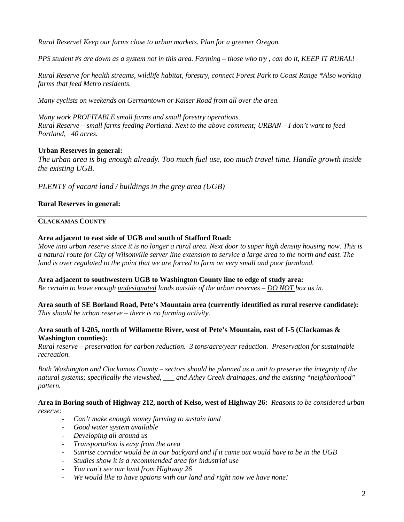*Rural Reserve! Keep our farms close to urban markets. Plan for a greener Oregon.*

*PPS student #s are down as a system not in this area. Farming – those who try , can do it, KEEP IT RURAL!*

*Rural Reserve for health streams, wildlife habitat, forestry, connect Forest Park to Coast Range \*Also working farms that feed Metro residents.* 

*Many cyclists on weekends on Germantown or Kaiser Road from all over the area.* 

*Many work PROFITABLE small farms and small forestry operations. Rural Reserve – small farms feeding Portland. Next to the above comment; URBAN – I don't want to feed Portland, 40 acres.* 

## **Urban Reserves in general:**

*The urban area is big enough already. Too much fuel use, too much travel time. Handle growth inside the existing UGB.*

*PLENTY of vacant land / buildings in the grey area (UGB)* 

## **Rural Reserves in general:**

## **CLACKAMAS COUNTY**

## **Area adjacent to east side of UGB and south of Stafford Road:**

*Move into urban reserve since it is no longer a rural area. Next door to super high density housing now. This is a natural route for City of Wilsonville server line extension to service a large area to the north and east. The land is over regulated to the point that we are forced to farm on very small and poor farmland.* 

## **Area adjacent to southwestern UGB to Washington County line to edge of study area:**

*Be certain to leave enough undesignated lands outside of the urban reserves – DO NOT box us in.* 

**Area south of SE Borland Road, Pete's Mountain area (currently identified as rural reserve candidate):** *This should be urban reserve – there is no farming activity.* 

## **Area south of I-205, north of Willamette River, west of Pete's Mountain, east of I-5 (Clackamas & Washington counties):**

*Rural reserve – preservation for carbon reduction. 3 tons/acre/year reduction. Preservation for sustainable recreation.*

*Both Washington and Clackamas County – sectors should be planned as a unit to preserve the integrity of the natural systems; specifically the viewshed, \_\_\_ and Athey Creek drainages, and the existing "neighborhood" pattern.*

**Area in Boring south of Highway 212, north of Kelso, west of Highway 26:** *Reasons to be considered urban reserve:*

- *Can't make enough money farming to sustain land*
- *Good water system available*
- *Developing all around us*
- *Transportation is easy from the area*
- *Sunrise corridor would be in our backyard and if it came out would have to be in the UGB*
- *Studies show it is a recommended area for industrial use*
- *You can't see our land from Highway 26*
- *We would like to have options with our land and right now we have none!*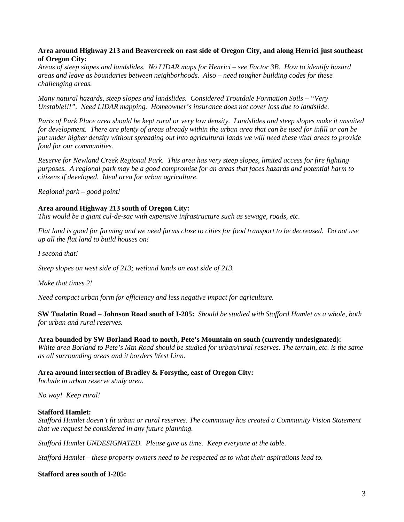## **Area around Highway 213 and Beavercreek on east side of Oregon City, and along Henrici just southeast of Oregon City:**

*Areas of steep slopes and landslides. No LIDAR maps for Henrici – see Factor 3B. How to identify hazard areas and leave as boundaries between neighborhoods. Also – need tougher building codes for these challenging areas.* 

*Many natural hazards, steep slopes and landslides. Considered Troutdale Formation Soils – "Very Unstable!!!". Need LIDAR mapping. Homeowner's insurance does not cover loss due to landslide.* 

*Parts of Park Place area should be kept rural or very low density. Landslides and steep slopes make it unsuited for development. There are plenty of areas already within the urban area that can be used for infill or can be put under higher density without spreading out into agricultural lands we will need these vital areas to provide food for our communities.*

*Reserve for Newland Creek Regional Park. This area has very steep slopes, limited access for fire fighting purposes. A regional park may be a good compromise for an areas that faces hazards and potential harm to citizens if developed. Ideal area for urban agriculture.* 

*Regional park – good point!* 

## **Area around Highway 213 south of Oregon City:**

*This would be a giant cul-de-sac with expensive infrastructure such as sewage, roads, etc.*

*Flat land is good for farming and we need farms close to cities for food transport to be decreased. Do not use up all the flat land to build houses on!* 

*I second that!*

*Steep slopes on west side of 213; wetland lands on east side of 213.* 

*Make that times 2!* 

*Need compact urban form for efficiency and less negative impact for agriculture.*

**SW Tualatin Road – Johnson Road south of I-205:** *Should be studied with Stafford Hamlet as a whole, both for urban and rural reserves.*

## **Area bounded by SW Borland Road to north, Pete's Mountain on south (currently undesignated):**

*White area Borland to Pete's Mtn Road should be studied for urban/rural reserves. The terrain, etc. is the same as all surrounding areas and it borders West Linn.* 

## **Area around intersection of Bradley & Forsythe, east of Oregon City:**

*Include in urban reserve study area.* 

*No way! Keep rural!*

## **Stafford Hamlet:**

*Stafford Hamlet doesn't fit urban or rural reserves. The community has created a Community Vision Statement that we request be considered in any future planning.* 

*Stafford Hamlet UNDESIGNATED. Please give us time. Keep everyone at the table.*

*Stafford Hamlet – these property owners need to be respected as to what their aspirations lead to.*

## **Stafford area south of I-205:**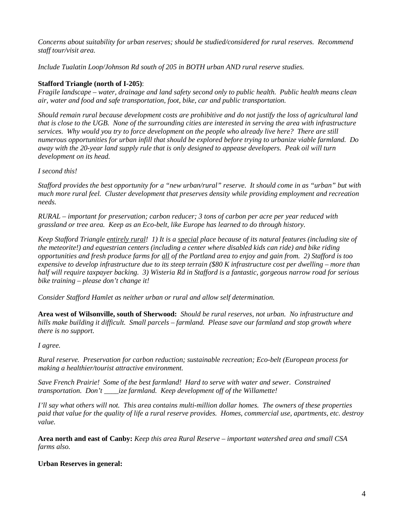*Concerns about suitability for urban reserves; should be studied/considered for rural reserves. Recommend staff tour/visit area.*

*Include Tualatin Loop/Johnson Rd south of 205 in BOTH urban AND rural reserve studies.*

## **Stafford Triangle (north of I-205)**:

*Fragile landscape – water, drainage and land safety second only to public health. Public health means clean air, water and food and safe transportation, foot, bike, car and public transportation.* 

*Should remain rural because development costs are prohibitive and do not justify the loss of agricultural land that is close to the UGB. None of the surrounding cities are interested in serving the area with infrastructure services. Why would you try to force development on the people who already live here? There are still numerous opportunities for urban infill that should be explored before trying to urbanize viable farmland. Do away with the 20-year land supply rule that is only designed to appease developers. Peak oil will turn development on its head.* 

## *I second this!*

*Stafford provides the best opportunity for a "new urban/rural" reserve. It should come in as "urban" but with much more rural feel. Cluster development that preserves density while providing employment and recreation needs.*

*RURAL – important for preservation; carbon reducer; 3 tons of carbon per acre per year reduced with grassland or tree area. Keep as an Eco-belt, like Europe has learned to do through history.* 

*Keep Stafford Triangle entirely rural! 1) It is a special place because of its natural features (including site of the meteorite!) and equestrian centers (including a center where disabled kids can ride) and bike riding opportunities and fresh produce farms for all of the Portland area to enjoy and gain from. 2) Stafford is too expensive to develop infrastructure due to its steep terrain (\$80 K infrastructure cost per dwelling – more than half will require taxpayer backing. 3) Wisteria Rd in Stafford is a fantastic, gorgeous narrow road for serious bike training – please don't change it!* 

*Consider Stafford Hamlet as neither urban or rural and allow self determination.* 

**Area west of Wilsonville, south of Sherwood:** *Should be rural reserves, not urban. No infrastructure and hills make building it difficult. Small parcels – farmland. Please save our farmland and stop growth where there is no support.* 

*I agree.* 

*Rural reserve. Preservation for carbon reduction; sustainable recreation; Eco-belt (European process for making a healthier/tourist attractive environment.*

*Save French Prairie! Some of the best farmland! Hard to serve with water and sewer. Constrained transportation. Don't \_\_\_\_ize farmland. Keep development off of the Willamette!* 

*I'll say what others will not. This area contains multi-million dollar homes. The owners of these properties paid that value for the quality of life a rural reserve provides. Homes, commercial use, apartments, etc. destroy value.* 

**Area north and east of Canby:** *Keep this area Rural Reserve – important watershed area and small CSA farms also.*

## **Urban Reserves in general:**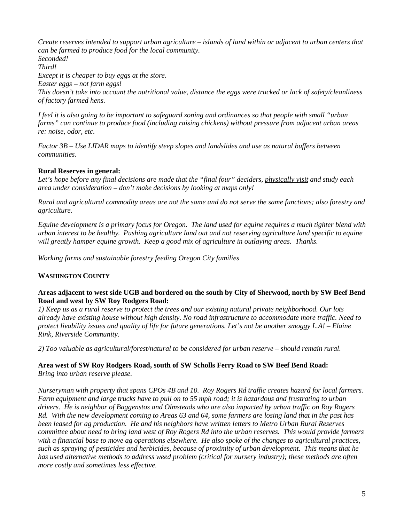*Create reserves intended to support urban agriculture – islands of land within or adjacent to urban centers that can be farmed to produce food for the local community. Seconded! Third! Except it is cheaper to buy eggs at the store. Easter eggs – not farm eggs!* 

*This doesn't take into account the nutritional value, distance the eggs were trucked or lack of safety/cleanliness of factory farmed hens.*

*I feel it is also going to be important to safeguard zoning and ordinances so that people with small "urban farms" can continue to produce food (including raising chickens) without pressure from adjacent urban areas re: noise, odor, etc.* 

*Factor 3B – Use LIDAR maps to identify steep slopes and landslides and use as natural buffers between communities.* 

## **Rural Reserves in general:**

Let's hope before any final decisions are made that the "final four" deciders, physically visit and study each *area under consideration – don't make decisions by looking at maps only!* 

*Rural and agricultural commodity areas are not the same and do not serve the same functions; also forestry and agriculture.* 

*Equine development is a primary focus for Oregon. The land used for equine requires a much tighter blend with urban interest to be healthy. Pushing agriculture land out and not reserving agriculture land specific to equine will greatly hamper equine growth. Keep a good mix of agriculture in outlaying areas. Thanks.* 

*Working farms and sustainable forestry feeding Oregon City families*

## **WASHINGTON COUNTY**

## **Areas adjacent to west side UGB and bordered on the south by City of Sherwood, north by SW Beef Bend Road and west by SW Roy Rodgers Road:**

*1) Keep us as a rural reserve to protect the trees and our existing natural private neighborhood. Our lots already have existing house without high density. No road infrastructure to accommodate more traffic. Need to protect livability issues and quality of life for future generations. Let's not be another smoggy L.A! – Elaine Rink, Riverside Community.*

*2) Too valuable as agricultural/forest/natural to be considered for urban reserve – should remain rural.*

**Area west of SW Roy Rodgers Road, south of SW Scholls Ferry Road to SW Beef Bend Road:**  *Bring into urban reserve please.*

*Nurseryman with property that spans CPOs 4B and 10. Roy Rogers Rd traffic creates hazard for local farmers. Farm equipment and large trucks have to pull on to 55 mph road; it is hazardous and frustrating to urban drivers. He is neighbor of Baggenstos and Olmsteads who are also impacted by urban traffic on Roy Rogers Rd. With the new development coming to Areas 63 and 64, some farmers are losing land that in the past has been leased for ag production. He and his neighbors have written letters to Metro Urban Rural Reserves committee about need to bring land west of Roy Rogers Rd into the urban reserves. This would provide farmers with a financial base to move ag operations elsewhere. He also spoke of the changes to agricultural practices, such as spraying of pesticides and herbicides, because of proximity of urban development. This means that he has used alternative methods to address weed problem (critical for nursery industry); these methods are often more costly and sometimes less effective.*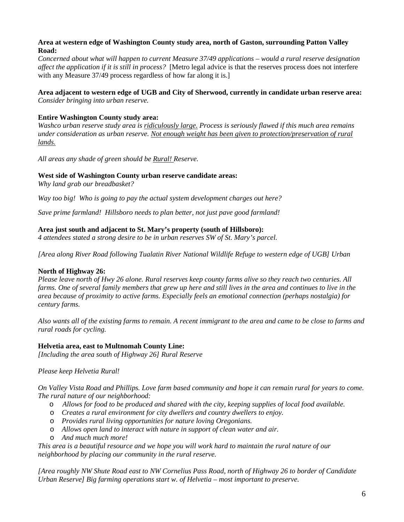## **Area at western edge of Washington County study area, north of Gaston, surrounding Patton Valley Road:**

*Concerned about what will happen to current Measure 37/49 applications – would a rural reserve designation affect the application if it is still in process?* [Metro legal advice is that the reserves process does not interfere with any Measure 37/49 process regardless of how far along it is.]

## **Area adjacent to western edge of UGB and City of Sherwood, currently in candidate urban reserve area:** *Consider bringing into urban reserve.*

## **Entire Washington County study area:**

*Washco urban reserve study area is ridiculously large. Process is seriously flawed if this much area remains under consideration as urban reserve. Not enough weight has been given to protection/preservation of rural lands.*

*All areas any shade of green should be Rural! Reserve.*

## **West side of Washington County urban reserve candidate areas:**

*Why land grab our breadbasket?* 

*Way too big! Who is going to pay the actual system development charges out here?* 

*Save prime farmland! Hillsboro needs to plan better, not just pave good farmland!* 

## **Area just south and adjacent to St. Mary's property (south of Hillsboro):**

*4 attendees stated a strong desire to be in urban reserves SW of St. Mary's parcel.* 

*[Area along River Road following Tualatin River National Wildlife Refuge to western edge of UGB] Urban* 

## **North of Highway 26:**

*Please leave north of Hwy 26 alone. Rural reserves keep county farms alive so they reach two centuries. All farms. One of several family members that grew up here and still lives in the area and continues to live in the area because of proximity to active farms. Especially feels an emotional connection (perhaps nostalgia) for century farms.*

*Also wants all of the existing farms to remain. A recent immigrant to the area and came to be close to farms and rural roads for cycling.*

## **Helvetia area, east to Multnomah County Line:**

*[Including the area south of Highway 26] Rural Reserve* 

*Please keep Helvetia Rural!*

*On Valley Vista Road and Phillips. Love farm based community and hope it can remain rural for years to come. The rural nature of our neighborhood:* 

- o *Allows for food to be produced and shared with the city, keeping supplies of local food available.*
- o *Creates a rural environment for city dwellers and country dwellers to enjoy.*
- o *Provides rural living opportunities for nature loving Oregonians.*
- o *Allows open land to interact with nature in support of clean water and air.*
- o *And much much more!*

*This area is a beautiful resource and we hope you will work hard to maintain the rural nature of our neighborhood by placing our community in the rural reserve.*

*[Area roughly NW Shute Road east to NW Cornelius Pass Road, north of Highway 26 to border of Candidate Urban Reserve] Big farming operations start w. of Helvetia – most important to preserve.*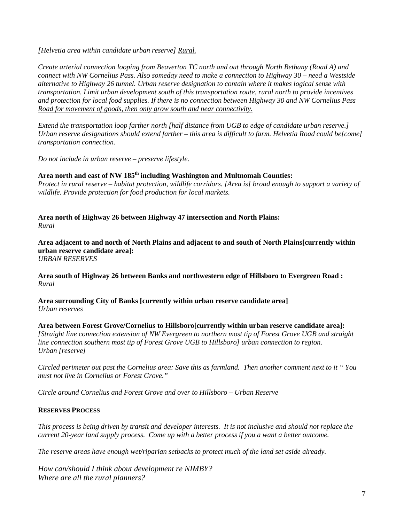*[Helvetia area within candidate urban reserve] Rural.*

*Create arterial connection looping from Beaverton TC north and out through North Bethany (Road A) and connect with NW Cornelius Pass. Also someday need to make a connection to Highway 30 – need a Westside alternative to Highway 26 tunnel. Urban reserve designation to contain where it makes logical sense with transportation. Limit urban development south of this transportation route, rural north to provide incentives and protection for local food supplies. If there is no connection between Highway 30 and NW Cornelius Pass Road for movement of goods, then only grow south and near connectivity.*

*Extend the transportation loop farther north [half distance from UGB to edge of candidate urban reserve.] Urban reserve designations should extend farther – this area is difficult to farm. Helvetia Road could be[come] transportation connection.*

*Do not include in urban reserve – preserve lifestyle.*

## **Area north and east of NW 185th including Washington and Multnomah Counties:**

*Protect in rural reserve – habitat protection, wildlife corridors. [Area is] broad enough to support a variety of wildlife. Provide protection for food production for local markets.* 

**Area north of Highway 26 between Highway 47 intersection and North Plains:**  *Rural* 

**Area adjacent to and north of North Plains and adjacent to and south of North Plains[currently within urban reserve candidate area]:** *URBAN RESERVES*

**Area south of Highway 26 between Banks and northwestern edge of Hillsboro to Evergreen Road :**  *Rural* 

**Area surrounding City of Banks [currently within urban reserve candidate area]** *Urban reserves*

**Area between Forest Grove/Cornelius to Hillsboro[currently within urban reserve candidate area]:** *[Straight line connection extension of NW Evergreen to northern most tip of Forest Grove UGB and straight line connection southern most tip of Forest Grove UGB to Hillsboro] urban connection to region. Urban [reserve]*

*Circled perimeter out past the Cornelius area: Save this as farmland. Then another comment next to it " You must not live in Cornelius or Forest Grove."*

*Circle around Cornelius and Forest Grove and over to Hillsboro – Urban Reserve*

## **RESERVES PROCESS**

*This process is being driven by transit and developer interests. It is not inclusive and should not replace the current 20-year land supply process. Come up with a better process if you a want a better outcome.* 

*The reserve areas have enough wet/riparian setbacks to protect much of the land set aside already.*

*How can/should I think about development re NIMBY? Where are all the rural planners?*